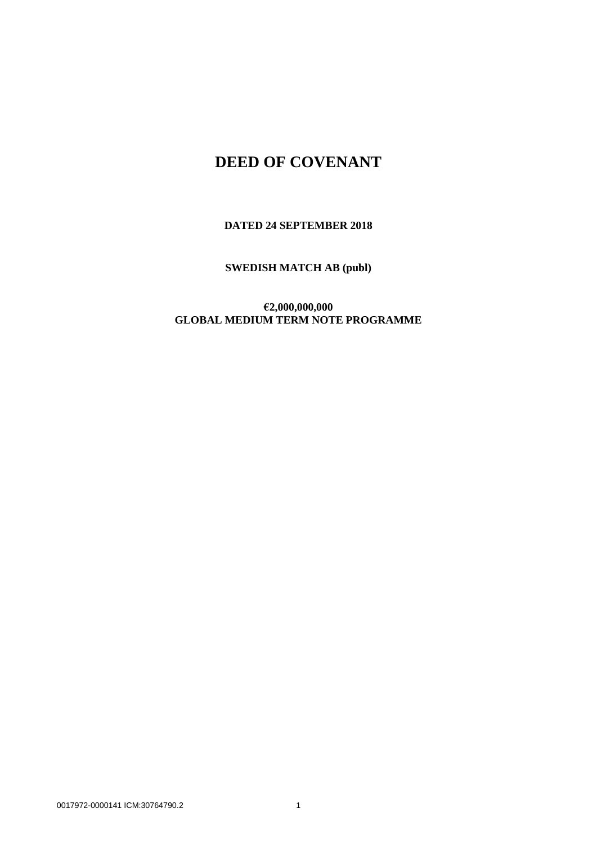## **DEED OF COVENANT**

**DATED 24 SEPTEMBER 2018**

**SWEDISH MATCH AB (publ)**

**€2,000,000,000 GLOBAL MEDIUM TERM NOTE PROGRAMME**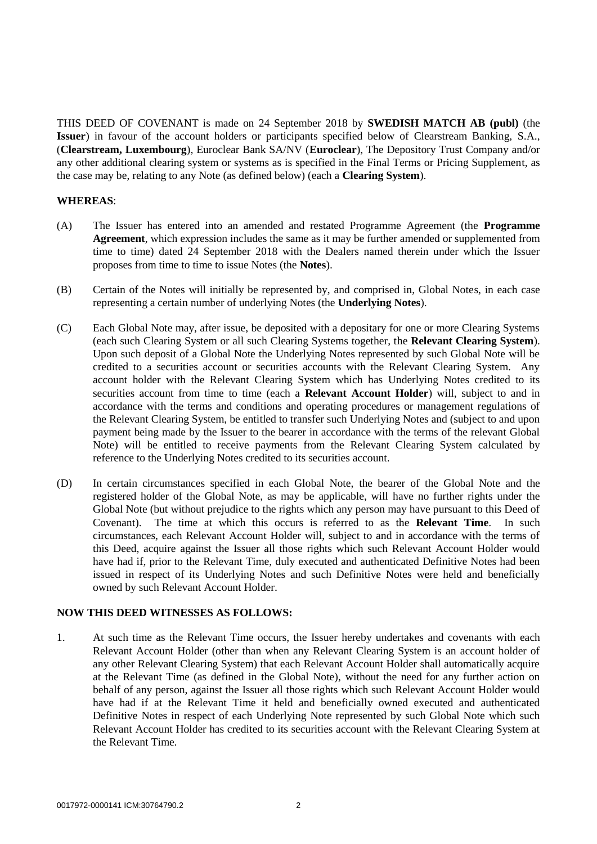THIS DEED OF COVENANT is made on 24 September 2018 by **SWEDISH MATCH AB (publ)** (the **Issuer**) in favour of the account holders or participants specified below of Clearstream Banking, S.A., (**Clearstream, Luxembourg**), Euroclear Bank SA/NV (**Euroclear**), The Depository Trust Company and/or any other additional clearing system or systems as is specified in the Final Terms or Pricing Supplement, as the case may be, relating to any Note (as defined below) (each a **Clearing System**).

## **WHEREAS**:

- (A) The Issuer has entered into an amended and restated Programme Agreement (the **Programme Agreement**, which expression includes the same as it may be further amended or supplemented from time to time) dated 24 September 2018 with the Dealers named therein under which the Issuer proposes from time to time to issue Notes (the **Notes**).
- (B) Certain of the Notes will initially be represented by, and comprised in, Global Notes, in each case representing a certain number of underlying Notes (the **Underlying Notes**).
- (C) Each Global Note may, after issue, be deposited with a depositary for one or more Clearing Systems (each such Clearing System or all such Clearing Systems together, the **Relevant Clearing System**). Upon such deposit of a Global Note the Underlying Notes represented by such Global Note will be credited to a securities account or securities accounts with the Relevant Clearing System. Any account holder with the Relevant Clearing System which has Underlying Notes credited to its securities account from time to time (each a **Relevant Account Holder**) will, subject to and in accordance with the terms and conditions and operating procedures or management regulations of the Relevant Clearing System, be entitled to transfer such Underlying Notes and (subject to and upon payment being made by the Issuer to the bearer in accordance with the terms of the relevant Global Note) will be entitled to receive payments from the Relevant Clearing System calculated by reference to the Underlying Notes credited to its securities account.
- (D) In certain circumstances specified in each Global Note, the bearer of the Global Note and the registered holder of the Global Note, as may be applicable, will have no further rights under the Global Note (but without prejudice to the rights which any person may have pursuant to this Deed of Covenant). The time at which this occurs is referred to as the **Relevant Time**. In such circumstances, each Relevant Account Holder will, subject to and in accordance with the terms of this Deed, acquire against the Issuer all those rights which such Relevant Account Holder would have had if, prior to the Relevant Time, duly executed and authenticated Definitive Notes had been issued in respect of its Underlying Notes and such Definitive Notes were held and beneficially owned by such Relevant Account Holder.

## **NOW THIS DEED WITNESSES AS FOLLOWS:**

1. At such time as the Relevant Time occurs, the Issuer hereby undertakes and covenants with each Relevant Account Holder (other than when any Relevant Clearing System is an account holder of any other Relevant Clearing System) that each Relevant Account Holder shall automatically acquire at the Relevant Time (as defined in the Global Note), without the need for any further action on behalf of any person, against the Issuer all those rights which such Relevant Account Holder would have had if at the Relevant Time it held and beneficially owned executed and authenticated Definitive Notes in respect of each Underlying Note represented by such Global Note which such Relevant Account Holder has credited to its securities account with the Relevant Clearing System at the Relevant Time.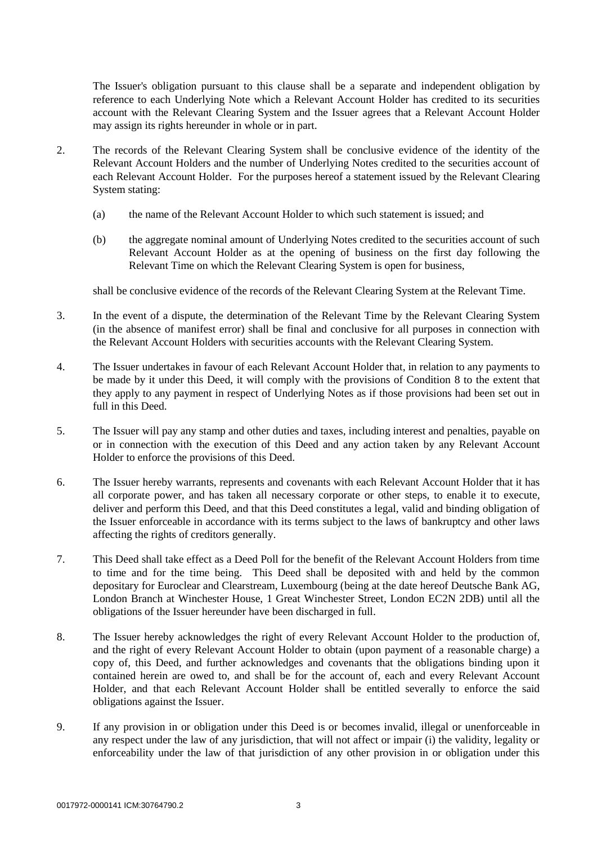The Issuer's obligation pursuant to this clause shall be a separate and independent obligation by reference to each Underlying Note which a Relevant Account Holder has credited to its securities account with the Relevant Clearing System and the Issuer agrees that a Relevant Account Holder may assign its rights hereunder in whole or in part.

- 2. The records of the Relevant Clearing System shall be conclusive evidence of the identity of the Relevant Account Holders and the number of Underlying Notes credited to the securities account of each Relevant Account Holder. For the purposes hereof a statement issued by the Relevant Clearing System stating:
	- (a) the name of the Relevant Account Holder to which such statement is issued; and
	- (b) the aggregate nominal amount of Underlying Notes credited to the securities account of such Relevant Account Holder as at the opening of business on the first day following the Relevant Time on which the Relevant Clearing System is open for business,

shall be conclusive evidence of the records of the Relevant Clearing System at the Relevant Time.

- 3. In the event of a dispute, the determination of the Relevant Time by the Relevant Clearing System (in the absence of manifest error) shall be final and conclusive for all purposes in connection with the Relevant Account Holders with securities accounts with the Relevant Clearing System.
- 4. The Issuer undertakes in favour of each Relevant Account Holder that, in relation to any payments to be made by it under this Deed, it will comply with the provisions of Condition 8 to the extent that they apply to any payment in respect of Underlying Notes as if those provisions had been set out in full in this Deed.
- 5. The Issuer will pay any stamp and other duties and taxes, including interest and penalties, payable on or in connection with the execution of this Deed and any action taken by any Relevant Account Holder to enforce the provisions of this Deed.
- 6. The Issuer hereby warrants, represents and covenants with each Relevant Account Holder that it has all corporate power, and has taken all necessary corporate or other steps, to enable it to execute, deliver and perform this Deed, and that this Deed constitutes a legal, valid and binding obligation of the Issuer enforceable in accordance with its terms subject to the laws of bankruptcy and other laws affecting the rights of creditors generally.
- 7. This Deed shall take effect as a Deed Poll for the benefit of the Relevant Account Holders from time to time and for the time being. This Deed shall be deposited with and held by the common depositary for Euroclear and Clearstream, Luxembourg (being at the date hereof Deutsche Bank AG, London Branch at Winchester House, 1 Great Winchester Street, London EC2N 2DB) until all the obligations of the Issuer hereunder have been discharged in full.
- 8. The Issuer hereby acknowledges the right of every Relevant Account Holder to the production of, and the right of every Relevant Account Holder to obtain (upon payment of a reasonable charge) a copy of, this Deed, and further acknowledges and covenants that the obligations binding upon it contained herein are owed to, and shall be for the account of, each and every Relevant Account Holder, and that each Relevant Account Holder shall be entitled severally to enforce the said obligations against the Issuer.
- 9. If any provision in or obligation under this Deed is or becomes invalid, illegal or unenforceable in any respect under the law of any jurisdiction, that will not affect or impair (i) the validity, legality or enforceability under the law of that jurisdiction of any other provision in or obligation under this